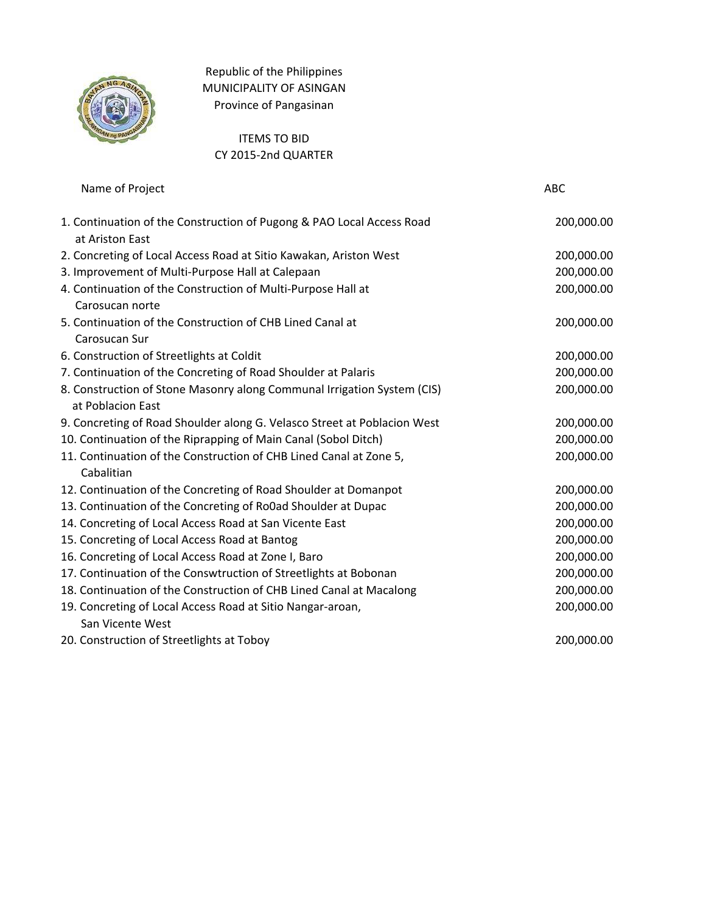

Republic of the Philippines MUNICIPALITY OF ASINGAN Province of Pangasinan

## ITEMS TO BID CY 2015-2nd QUARTER

| Name of Project | ABC |
|-----------------|-----|
|                 |     |

| 1. Continuation of the Construction of Pugong & PAO Local Access Road<br>at Ariston East | 200,000.00 |
|------------------------------------------------------------------------------------------|------------|
| 2. Concreting of Local Access Road at Sitio Kawakan, Ariston West                        | 200,000.00 |
| 3. Improvement of Multi-Purpose Hall at Calepaan                                         | 200,000.00 |
| 4. Continuation of the Construction of Multi-Purpose Hall at                             | 200,000.00 |
| Carosucan norte                                                                          |            |
| 5. Continuation of the Construction of CHB Lined Canal at                                | 200,000.00 |
| Carosucan Sur                                                                            |            |
| 6. Construction of Streetlights at Coldit                                                | 200,000.00 |
| 7. Continuation of the Concreting of Road Shoulder at Palaris                            | 200,000.00 |
| 8. Construction of Stone Masonry along Communal Irrigation System (CIS)                  | 200,000.00 |
| at Poblacion East                                                                        |            |
| 9. Concreting of Road Shoulder along G. Velasco Street at Poblacion West                 | 200,000.00 |
| 10. Continuation of the Riprapping of Main Canal (Sobol Ditch)                           | 200,000.00 |
| 11. Continuation of the Construction of CHB Lined Canal at Zone 5,                       | 200,000.00 |
| Cabalitian                                                                               |            |
| 12. Continuation of the Concreting of Road Shoulder at Domanpot                          | 200,000.00 |
| 13. Continuation of the Concreting of Ro0ad Shoulder at Dupac                            | 200,000.00 |
| 14. Concreting of Local Access Road at San Vicente East                                  | 200,000.00 |
| 15. Concreting of Local Access Road at Bantog                                            | 200,000.00 |
| 16. Concreting of Local Access Road at Zone I, Baro                                      | 200,000.00 |
| 17. Continuation of the Conswtruction of Streetlights at Bobonan                         | 200,000.00 |
| 18. Continuation of the Construction of CHB Lined Canal at Macalong                      | 200,000.00 |
| 19. Concreting of Local Access Road at Sitio Nangar-aroan,                               | 200,000.00 |
| San Vicente West                                                                         |            |
| 20. Construction of Streetlights at Toboy                                                | 200,000.00 |